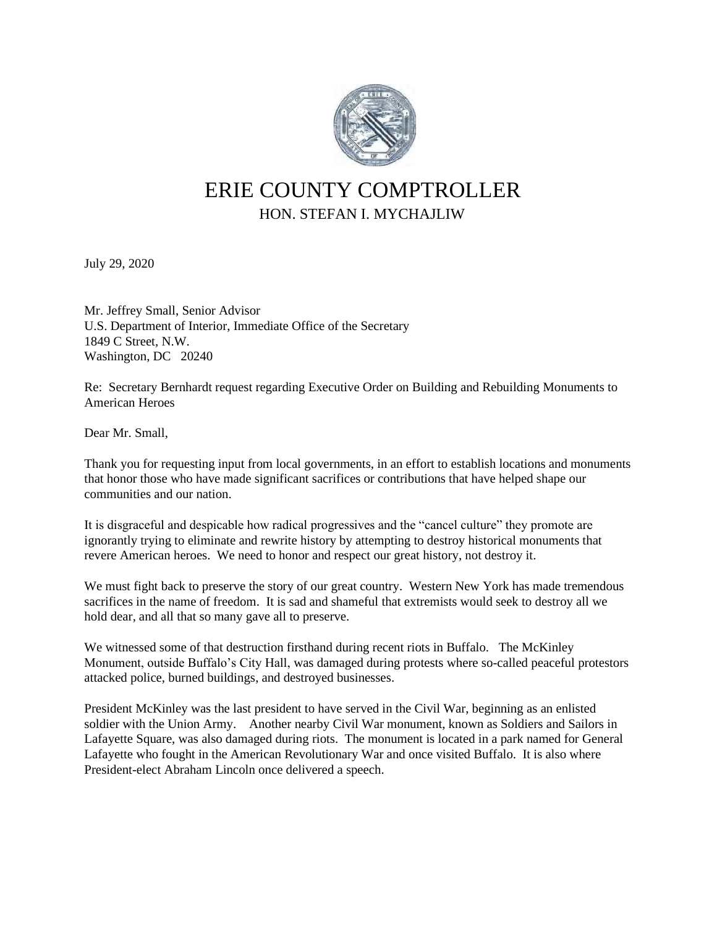

## ERIE COUNTY COMPTROLLER HON. STEFAN I. MYCHAJLIW

July 29, 2020

Mr. Jeffrey Small, Senior Advisor U.S. Department of Interior, Immediate Office of the Secretary 1849 C Street, N.W. Washington, DC 20240

Re: Secretary Bernhardt request regarding Executive Order on Building and Rebuilding Monuments to American Heroes

Dear Mr. Small,

Thank you for requesting input from local governments, in an effort to establish locations and monuments that honor those who have made significant sacrifices or contributions that have helped shape our communities and our nation.

It is disgraceful and despicable how radical progressives and the "cancel culture" they promote are ignorantly trying to eliminate and rewrite history by attempting to destroy historical monuments that revere American heroes. We need to honor and respect our great history, not destroy it.

We must fight back to preserve the story of our great country. Western New York has made tremendous sacrifices in the name of freedom. It is sad and shameful that extremists would seek to destroy all we hold dear, and all that so many gave all to preserve.

We witnessed some of that destruction firsthand during recent riots in Buffalo. The McKinley Monument, outside Buffalo's City Hall, was damaged during protests where so-called peaceful protestors attacked police, burned buildings, and destroyed businesses.

President McKinley was the last president to have served in the Civil War, beginning as an enlisted soldier with the Union Army. Another nearby Civil War monument, known as Soldiers and Sailors in Lafayette Square, was also damaged during riots. The monument is located in a park named for General Lafayette who fought in the American Revolutionary War and once visited Buffalo. It is also where President-elect Abraham Lincoln once delivered a speech.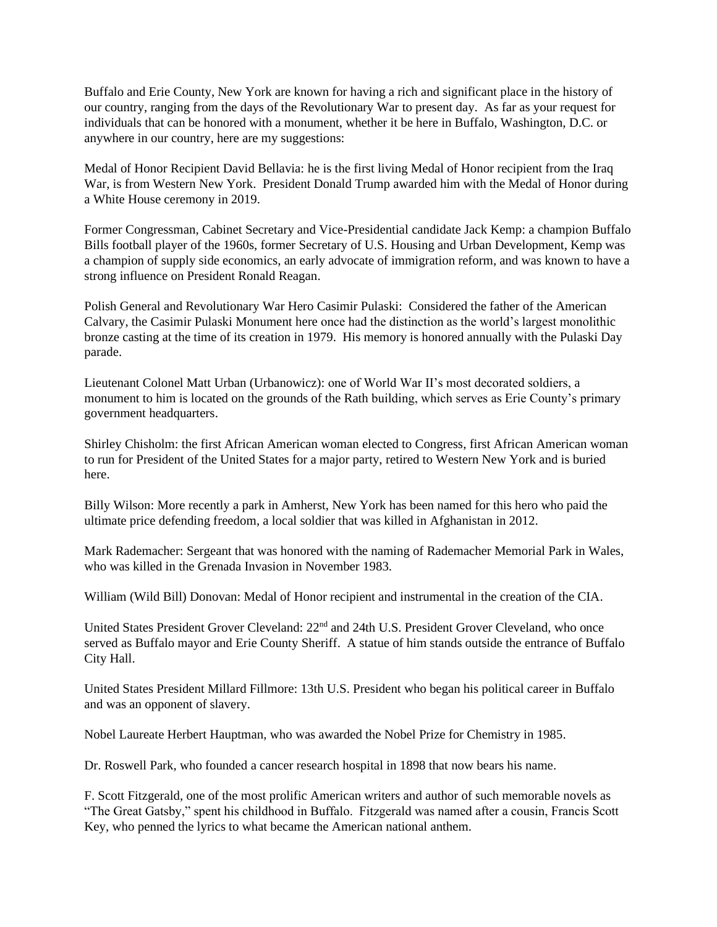Buffalo and Erie County, New York are known for having a rich and significant place in the history of our country, ranging from the days of the Revolutionary War to present day. As far as your request for individuals that can be honored with a monument, whether it be here in Buffalo, Washington, D.C. or anywhere in our country, here are my suggestions:

Medal of Honor Recipient David Bellavia: he is the first living Medal of Honor recipient from the Iraq War, is from Western New York. President Donald Trump awarded him with the Medal of Honor during a White House ceremony in 2019.

Former Congressman, Cabinet Secretary and Vice-Presidential candidate Jack Kemp: a champion Buffalo Bills football player of the 1960s, former Secretary of U.S. Housing and Urban Development, Kemp was a champion of supply side economics, an early advocate of immigration reform, and was known to have a strong influence on President Ronald Reagan.

Polish General and Revolutionary War Hero Casimir Pulaski: Considered the father of the American Calvary, the Casimir Pulaski Monument here once had the distinction as the world's largest monolithic bronze casting at the time of its creation in 1979. His memory is honored annually with the Pulaski Day parade.

Lieutenant Colonel Matt Urban (Urbanowicz): one of World War II's most decorated soldiers, a monument to him is located on the grounds of the Rath building, which serves as Erie County's primary government headquarters.

Shirley Chisholm: the first African American woman elected to Congress, first African American woman to run for President of the United States for a major party, retired to Western New York and is buried here.

Billy Wilson: More recently a park in Amherst, New York has been named for this hero who paid the ultimate price defending freedom, a local soldier that was killed in Afghanistan in 2012.

Mark Rademacher: Sergeant that was honored with the naming of Rademacher Memorial Park in Wales, who was killed in the Grenada Invasion in November 1983.

William (Wild Bill) Donovan: Medal of Honor recipient and instrumental in the creation of the CIA.

United States President Grover Cleveland:  $22<sup>nd</sup>$  and 24th U.S. President Grover Cleveland, who once served as Buffalo mayor and Erie County Sheriff. A statue of him stands outside the entrance of Buffalo City Hall.

United States President Millard Fillmore: 13th U.S. President who began his political career in Buffalo and was an opponent of slavery.

Nobel Laureate Herbert Hauptman, who was awarded the Nobel Prize for Chemistry in 1985.

Dr. Roswell Park, who founded a cancer research hospital in 1898 that now bears his name.

F. Scott Fitzgerald, one of the most prolific American writers and author of such memorable novels as "The Great Gatsby," spent his childhood in Buffalo. Fitzgerald was named after a cousin, Francis Scott Key, who penned the lyrics to what became the American national anthem.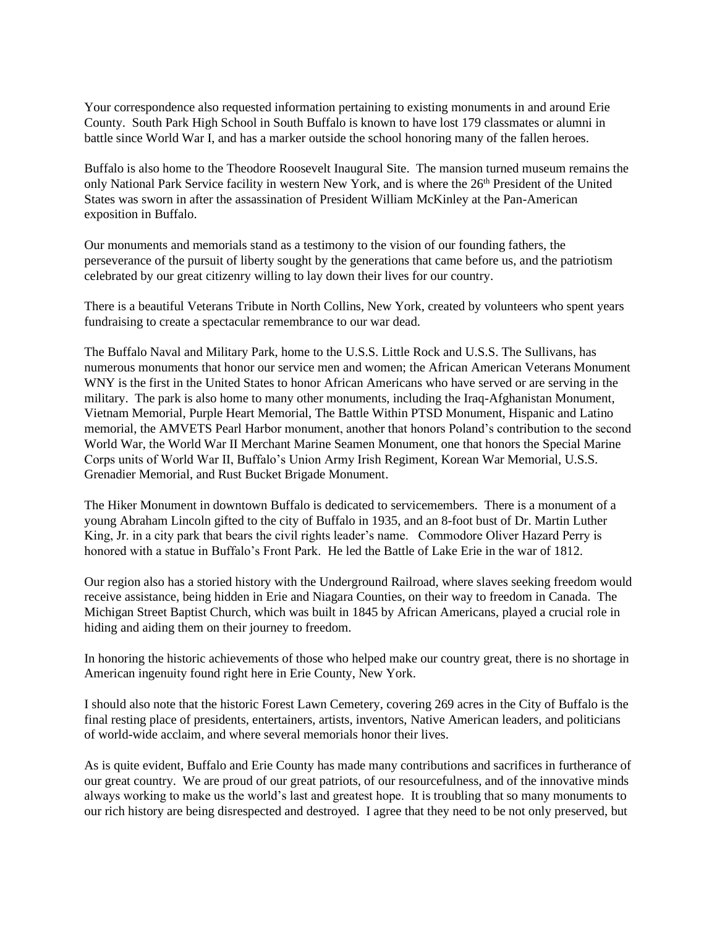Your correspondence also requested information pertaining to existing monuments in and around Erie County. South Park High School in South Buffalo is known to have lost 179 classmates or alumni in battle since World War I, and has a marker outside the school honoring many of the fallen heroes.

Buffalo is also home to the Theodore Roosevelt Inaugural Site. The mansion turned museum remains the only National Park Service facility in western New York, and is where the 26<sup>th</sup> President of the United States was sworn in after the assassination of President William McKinley at the Pan-American exposition in Buffalo.

Our monuments and memorials stand as a testimony to the vision of our founding fathers, the perseverance of the pursuit of liberty sought by the generations that came before us, and the patriotism celebrated by our great citizenry willing to lay down their lives for our country.

There is a beautiful Veterans Tribute in North Collins, New York, created by volunteers who spent years fundraising to create a spectacular remembrance to our war dead.

The Buffalo Naval and Military Park, home to the U.S.S. Little Rock and U.S.S. The Sullivans, has numerous monuments that honor our service men and women; the African American Veterans Monument WNY is the first in the United States to honor African Americans who have served or are serving in the military. The park is also home to many other monuments, including the Iraq-Afghanistan Monument, Vietnam Memorial, Purple Heart Memorial, The Battle Within PTSD Monument, Hispanic and Latino memorial, the AMVETS Pearl Harbor monument, another that honors Poland's contribution to the second World War, the World War II Merchant Marine Seamen Monument, one that honors the Special Marine Corps units of World War II, Buffalo's Union Army Irish Regiment, Korean War Memorial, U.S.S. Grenadier Memorial, and Rust Bucket Brigade Monument.

The Hiker Monument in downtown Buffalo is dedicated to servicemembers. There is a monument of a young Abraham Lincoln gifted to the city of Buffalo in 1935, and an 8-foot bust of Dr. Martin Luther King, Jr. in a city park that bears the civil rights leader's name. Commodore Oliver Hazard Perry is honored with a statue in Buffalo's Front Park. He led the Battle of Lake Erie in the war of 1812.

Our region also has a storied history with the Underground Railroad, where slaves seeking freedom would receive assistance, being hidden in Erie and Niagara Counties, on their way to freedom in Canada. The Michigan Street Baptist Church, which was built in 1845 by African Americans, played a crucial role in hiding and aiding them on their journey to freedom.

In honoring the historic achievements of those who helped make our country great, there is no shortage in American ingenuity found right here in Erie County, New York.

I should also note that the historic Forest Lawn Cemetery, covering 269 acres in the City of Buffalo is the final resting place of presidents, entertainers, artists, inventors, Native American leaders, and politicians of world-wide acclaim, and where several memorials honor their lives.

As is quite evident, Buffalo and Erie County has made many contributions and sacrifices in furtherance of our great country. We are proud of our great patriots, of our resourcefulness, and of the innovative minds always working to make us the world's last and greatest hope. It is troubling that so many monuments to our rich history are being disrespected and destroyed. I agree that they need to be not only preserved, but